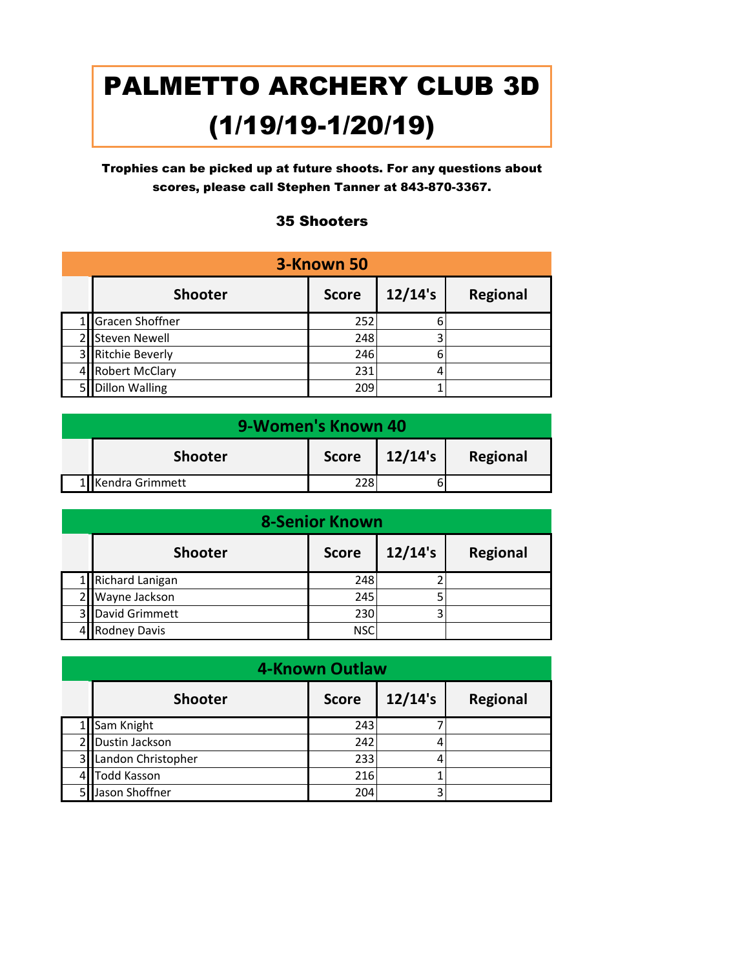# PALMETTO ARCHERY CLUB 3D (1/19/19-1/20/19)

Trophies can be picked up at future shoots. For any questions about scores, please call Stephen Tanner at 843-870-3367.

#### 35 Shooters

|   | 3-Known 50            |              |         |          |  |
|---|-----------------------|--------------|---------|----------|--|
|   | <b>Shooter</b>        | <b>Score</b> | 12/14's | Regional |  |
|   | Gracen Shoffner       | 252          | 6       |          |  |
|   | Steven Newell         | 248          |         |          |  |
|   | 3 Ritchie Beverly     | 246          | 6       |          |  |
|   | 4 Robert McClary      | 231          | 4       |          |  |
| 5 | <b>Dillon Walling</b> | 209          |         |          |  |

| 9-Women's Known 40 |                   |              |         |          |
|--------------------|-------------------|--------------|---------|----------|
|                    | <b>Shooter</b>    | <b>Score</b> | 12/14's | Regional |
|                    | 1 Kendra Grimmett | 228          |         |          |

|    | <b>8-Senior Known</b> |              |         |                 |  |  |
|----|-----------------------|--------------|---------|-----------------|--|--|
|    | <b>Shooter</b>        | <b>Score</b> | 12/14's | <b>Regional</b> |  |  |
|    | 1 Richard Lanigan     | 248          |         |                 |  |  |
|    | Wayne Jackson         | 245          |         |                 |  |  |
| 31 | David Grimmett        | 230          |         |                 |  |  |
|    | <b>Rodney Davis</b>   | <b>NSC</b>   |         |                 |  |  |

|   | 4-Known Outlaw     |              |         |          |  |  |
|---|--------------------|--------------|---------|----------|--|--|
|   | <b>Shooter</b>     | <b>Score</b> | 12/14's | Regional |  |  |
|   | Sam Knight         | 243          |         |          |  |  |
|   | Dustin Jackson     | 242          |         |          |  |  |
| 3 | Landon Christopher | 233          |         |          |  |  |
|   | <b>Todd Kasson</b> | 216          |         |          |  |  |
|   | Jason Shoffner     | 204          |         |          |  |  |